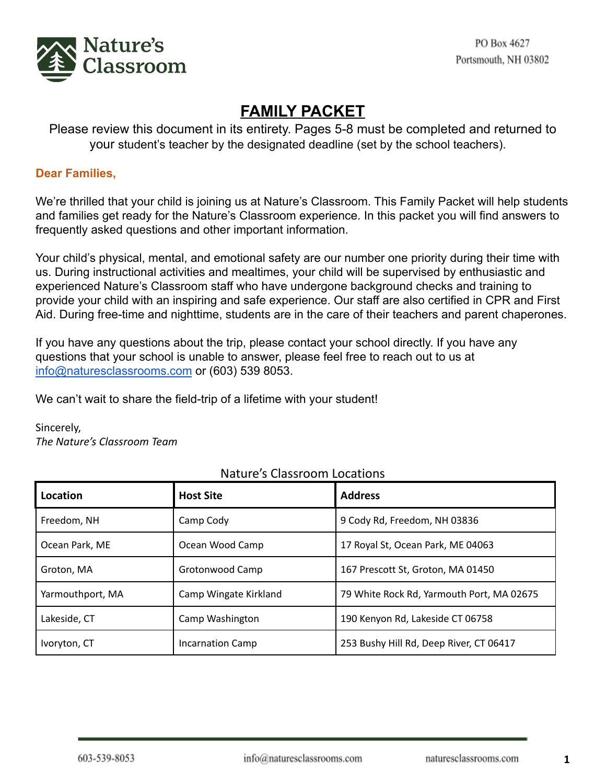

# **FAMILY PACKET**

Please review this document in its entirety. Pages 5-8 must be completed and returned to your student's teacher by the designated deadline (set by the school teachers).

### **Dear Families,**

We're thrilled that your child is joining us at Nature's Classroom. This Family Packet will help students and families get ready for the Nature's Classroom experience. In this packet you will find answers to frequently asked questions and other important information.

Your child's physical, mental, and emotional safety are our number one priority during their time with us. During instructional activities and mealtimes, your child will be supervised by enthusiastic and experienced Nature's Classroom staff who have undergone background checks and training to provide your child with an inspiring and safe experience. Our staff are also certified in CPR and First Aid. During free-time and nighttime, students are in the care of their teachers and parent chaperones.

If you have any questions about the trip, please contact your school directly. If you have any questions that your school is unable to answer, please feel free to reach out to us at [info@naturesclassrooms.com](mailto:info@naturesclassrooms.com) or (603) 539 8053.

We can't wait to share the field-trip of a lifetime with your student!

Sincerely, *The Nature's Classroom Team*

| Location         | <b>Host Site</b>        | <b>Address</b>                            |
|------------------|-------------------------|-------------------------------------------|
| Freedom, NH      | Camp Cody               | 9 Cody Rd, Freedom, NH 03836              |
| Ocean Park, ME   | Ocean Wood Camp         | 17 Royal St, Ocean Park, ME 04063         |
| Groton, MA       | Grotonwood Camp         | 167 Prescott St, Groton, MA 01450         |
| Yarmouthport, MA | Camp Wingate Kirkland   | 79 White Rock Rd, Yarmouth Port, MA 02675 |
| Lakeside, CT     | Camp Washington         | 190 Kenyon Rd, Lakeside CT 06758          |
| Ivoryton, CT     | <b>Incarnation Camp</b> | 253 Bushy Hill Rd, Deep River, CT 06417   |

# Nature's Classroom Locations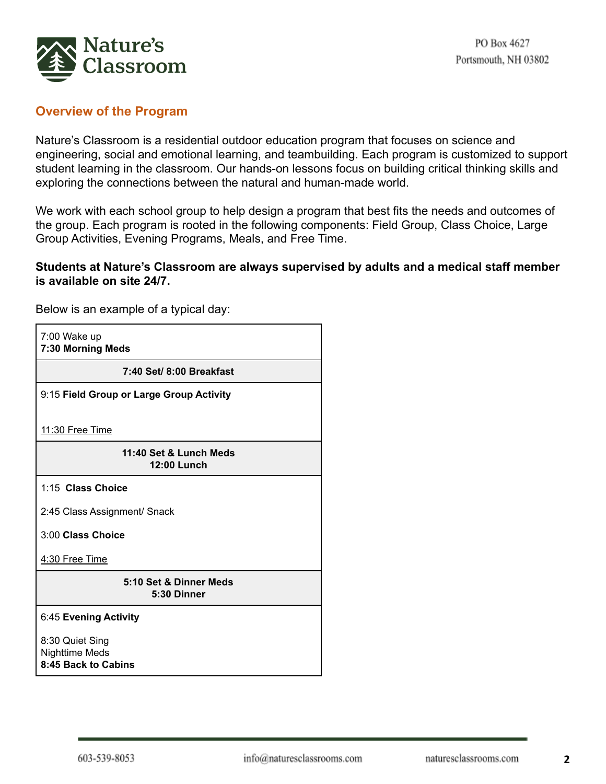

### **Overview of the Program**

Nature's Classroom is a residential outdoor education program that focuses on science and engineering, social and emotional learning, and teambuilding. Each program is customized to support student learning in the classroom. Our hands-on lessons focus on building critical thinking skills and exploring the connections between the natural and human-made world.

We work with each school group to help design a program that best fits the needs and outcomes of the group. Each program is rooted in the following components: Field Group, Class Choice, Large Group Activities, Evening Programs, Meals, and Free Time.

#### **Students at Nature's Classroom are always supervised by adults and a medical staff member is available on site 24/7.**

7:00 Wake up **7:30 Morning Meds 7:40 Set/ 8:00 Breakfast** 9:15 **Field Group or Large Group Activity** 11:30 Free Time **11:40 Set & Lunch Meds 12:00 Lunch** 1:15 **Class Choice** 2:45 Class Assignment/ Snack 3:00 **Class Choice** 4:30 Free Time **5:10 Set & Dinner Meds 5:30 Dinner** 6:45 **Evening Activity** 8:30 Quiet Sing Nighttime Meds **8:45 Back to Cabins**

Below is an example of a typical day: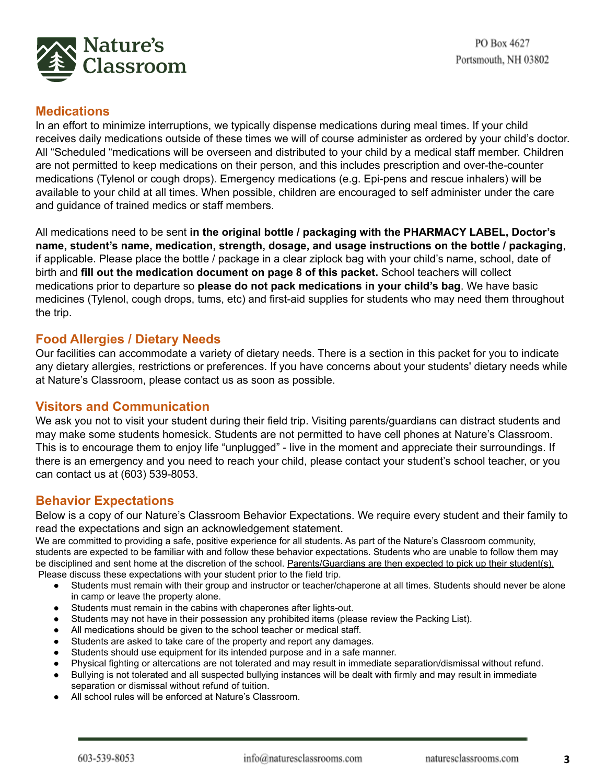

## **Medications**

In an effort to minimize interruptions, we typically dispense medications during meal times. If your child receives daily medications outside of these times we will of course administer as ordered by your child's doctor. All "Scheduled "medications will be overseen and distributed to your child by a medical staff member. Children are not permitted to keep medications on their person, and this includes prescription and over-the-counter medications (Tylenol or cough drops). Emergency medications (e.g. Epi-pens and rescue inhalers) will be available to your child at all times. When possible, children are encouraged to self administer under the care and guidance of trained medics or staff members.

All medications need to be sent **in the original bottle / packaging with the PHARMACY LABEL, Doctor's name, student's name, medication, strength, dosage, and usage instructions on the bottle / packaging**, if applicable. Please place the bottle / package in a clear ziplock bag with your child's name, school, date of birth and **fill out the medication document on page 8 of this packet.** School teachers will collect medications prior to departure so **please do not pack medications in your child's bag**. We have basic medicines (Tylenol, cough drops, tums, etc) and first-aid supplies for students who may need them throughout the trip.

#### **Food Allergies / Dietary Needs**

Our facilities can accommodate a variety of dietary needs. There is a section in this packet for you to indicate any dietary allergies, restrictions or preferences. If you have concerns about your students' dietary needs while at Nature's Classroom, please contact us as soon as possible.

#### **Visitors and Communication**

We ask you not to visit your student during their field trip. Visiting parents/guardians can distract students and may make some students homesick. Students are not permitted to have cell phones at Nature's Classroom. This is to encourage them to enjoy life "unplugged" - live in the moment and appreciate their surroundings. If there is an emergency and you need to reach your child, please contact your student's school teacher, or you can contact us at (603) 539-8053.

# **Behavior Expectations**

Below is a copy of our Nature's Classroom Behavior Expectations. We require every student and their family to read the expectations and sign an acknowledgement statement.

We are committed to providing a safe, positive experience for all students. As part of the Nature's Classroom community, students are expected to be familiar with and follow these behavior expectations. Students who are unable to follow them may be disciplined and sent home at the discretion of the school. Parents/Guardians are then expected to pick up their student(s). Please discuss these expectations with your student prior to the field trip.

- Students must remain with their group and instructor or teacher/chaperone at all times. Students should never be alone in camp or leave the property alone.
- Students must remain in the cabins with chaperones after lights-out.
- Students may not have in their possession any prohibited items (please review the Packing List).
- All medications should be given to the school teacher or medical staff.
- Students are asked to take care of the property and report any damages.
- Students should use equipment for its intended purpose and in a safe manner.
- Physical fighting or altercations are not tolerated and may result in immediate separation/dismissal without refund.
- Bullying is not tolerated and all suspected bullying instances will be dealt with firmly and may result in immediate separation or dismissal without refund of tuition.
- All school rules will be enforced at Nature's Classroom.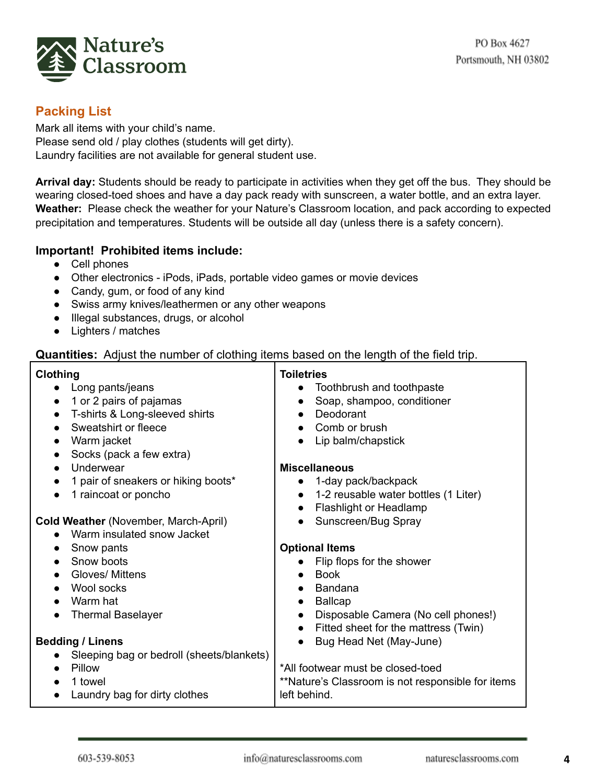

# **Packing List**

Mark all items with your child's name. Please send old / play clothes (students will get dirty). Laundry facilities are not available for general student use.

**Arrival day:** Students should be ready to participate in activities when they get off the bus. They should be wearing closed-toed shoes and have a day pack ready with sunscreen, a water bottle, and an extra layer. **Weather:** Please check the weather for your Nature's Classroom location, and pack according to expected precipitation and temperatures. Students will be outside all day (unless there is a safety concern).

#### **Important! Prohibited items include:**

- Cell phones
- Other electronics iPods, iPads, portable video games or movie devices
- Candy, gum, or food of any kind
- Swiss army knives/leathermen or any other weapons
- Illegal substances, drugs, or alcohol
- Lighters / matches

# **Quantities:** Adjust the number of clothing items based on the length of the field trip.

| <b>Clothing</b>                             | <b>Toiletries</b>                                 |  |
|---------------------------------------------|---------------------------------------------------|--|
| Long pants/jeans                            | Toothbrush and toothpaste                         |  |
| 1 or 2 pairs of pajamas<br>$\bullet$        | Soap, shampoo, conditioner                        |  |
| T-shirts & Long-sleeved shirts<br>$\bullet$ | Deodorant                                         |  |
| Sweatshirt or fleece                        | Comb or brush                                     |  |
| Warm jacket                                 | Lip balm/chapstick                                |  |
| Socks (pack a few extra)<br>$\bullet$       |                                                   |  |
| Underwear<br>$\bullet$                      | <b>Miscellaneous</b>                              |  |
| 1 pair of sneakers or hiking boots*         | 1-day pack/backpack<br>$\bullet$                  |  |
| 1 raincoat or poncho                        | 1-2 reusable water bottles (1 Liter)<br>$\bullet$ |  |
|                                             | Flashlight or Headlamp<br>$\bullet$               |  |
| <b>Cold Weather (November, March-April)</b> | Sunscreen/Bug Spray                               |  |
| Warm insulated snow Jacket                  |                                                   |  |
| Snow pants<br>$\bullet$                     | <b>Optional Items</b>                             |  |
| Snow boots                                  | Flip flops for the shower                         |  |
| Gloves/ Mittens<br>$\bullet$                | <b>Book</b><br>$\bullet$                          |  |
| Wool socks<br>$\bullet$                     | Bandana<br>$\bullet$                              |  |
| Warm hat<br>$\bullet$                       | <b>Ballcap</b><br>$\bullet$                       |  |
| <b>Thermal Baselayer</b>                    | Disposable Camera (No cell phones!)<br>$\bullet$  |  |
|                                             | Fitted sheet for the mattress (Twin)<br>$\bullet$ |  |
| <b>Bedding / Linens</b>                     | Bug Head Net (May-June)                           |  |
| Sleeping bag or bedroll (sheets/blankets)   |                                                   |  |
| Pillow                                      | *All footwear must be closed-toed                 |  |
| 1 towel                                     | **Nature's Classroom is not responsible for items |  |
| Laundry bag for dirty clothes<br>$\bullet$  | left behind.                                      |  |
|                                             |                                                   |  |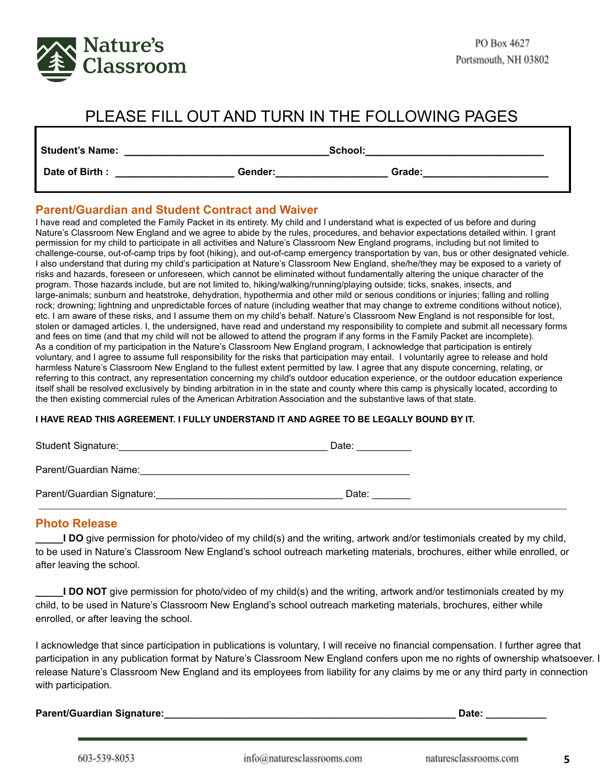

# PLEASE FILL OUT AND TURN IN THE FOLLOWING PAGES

| <b>Student's Name:</b> |         | School: |  |
|------------------------|---------|---------|--|
| Date of Birth:         | Gender: | Grade:  |  |

#### **Parent/Guardian and Student Contract and Waiver**

I have read and completed the Family Packet in its entirety. My child and I understand what is expected of us before and during Nature's Classroom New England and we agree to abide by the rules, procedures, and behavior expectations detailed within. I grant permission for my child to participate in all activities and Nature's Classroom New England programs, including but not limited to challenge-course, out-of-camp trips by foot (hiking), and out-of-camp emergency transportation by van, bus or other designated vehicle. I also understand that during my child's participation at Nature's Classroom New England, she/he/they may be exposed to a variety of risks and hazards, foreseen or unforeseen, which cannot be eliminated without fundamentally altering the unique character of the program. Those hazards include, but are not limited to, hiking/walking/running/playing outside; ticks, snakes, insects, and large-animals; sunburn and heatstroke, dehydration, hypothermia and other mild or serious conditions or injuries; falling and rolling rock; drowning; lightning and unpredictable forces of nature (including weather that may change to extreme conditions without notice), etc. I am aware of these risks, and I assume them on my child's behalf. Nature's Classroom New England is not responsible for lost, stolen or damaged articles. I, the undersigned, have read and understand my responsibility to complete and submit all necessary forms and fees on time (and that my child will not be allowed to attend the program if any forms in the Family Packet are incomplete). As a condition of my participation in the Nature's Classroom New England program, I acknowledge that participation is entirely voluntary, and I agree to assume full responsibility for the risks that participation may entail. I voluntarily agree to release and hold harmless Nature's Classroom New England to the fullest extent permitted by law. I agree that any dispute concerning, relating, or referring to this contract, any representation concerning my child's outdoor education experience, or the outdoor education experience itself shall be resolved exclusively by binding arbitration in in the state and county where this camp is physically located, according to the then existing commercial rules of the American Arbitration Association and the substantive laws of that state.

#### **I HAVE READ THIS AGREEMENT. I FULLY UNDERSTAND IT AND AGREE TO BE LEGALLY BOUND BY IT.**

| Student Signature:         | Date: |  |
|----------------------------|-------|--|
| Parent/Guardian Name:      |       |  |
| Parent/Guardian Signature: | Date: |  |

#### **Photo Release**

**\_\_\_\_\_I DO** give permission for photo/video of my child(s) and the writing, artwork and/or testimonials created by my child, to be used in Nature's Classroom New England's school outreach marketing materials, brochures, either while enrolled, or after leaving the school.

**\_\_\_\_\_I DO NOT** give permission for photo/video of my child(s) and the writing, artwork and/or testimonials created by my child, to be used in Nature's Classroom New England's school outreach marketing materials, brochures, either while enrolled, or after leaving the school.

I acknowledge that since participation in publications is voluntary, I will receive no financial compensation. I further agree that participation in any publication format by Nature's Classroom New England confers upon me no rights of ownership whatsoever. I release Nature's Classroom New England and its employees from liability for any claims by me or any third party in connection with participation.

**Parent/Guardian Signature:\_\_\_\_\_\_\_\_\_\_\_\_\_\_\_\_\_\_\_\_\_\_\_\_\_\_\_\_\_\_\_\_\_\_\_\_\_\_\_\_\_\_\_\_\_\_\_\_\_\_\_\_\_ Date: \_\_\_\_\_\_\_\_\_\_\_**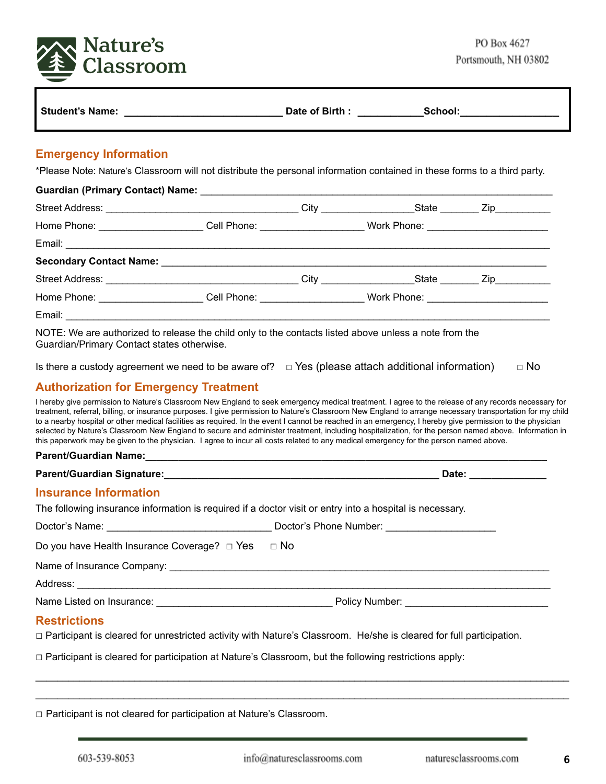

| Student's Name:              | Date of Birth: | School: |
|------------------------------|----------------|---------|
| <b>Emergency Information</b> |                |         |

# \*Please Note: Nature's Classroom will not distribute the personal information contained in these forms to a third party.

| Home Phone: _______________________Cell Phone: ________________________Work Phone: ______________________         |  |  |
|-------------------------------------------------------------------------------------------------------------------|--|--|
|                                                                                                                   |  |  |
|                                                                                                                   |  |  |
|                                                                                                                   |  |  |
| Home Phone: _______________________Cell Phone: _______________________Work Phone: _______________________         |  |  |
|                                                                                                                   |  |  |
| $MOTE \cdot W\alpha$ are authorized to release the child only to the contacts listed above unless a note from the |  |  |

NOTE: We are authorized to release the child only to the contacts listed above unless a note from the Guardian/Primary Contact states otherwise.

| Is there a custody agreement we need to be aware of? $\Box$ Yes (please attach additional information) |  | $\Box$ No |
|--------------------------------------------------------------------------------------------------------|--|-----------|
|--------------------------------------------------------------------------------------------------------|--|-----------|

## **Authorization for Emergency Treatment**

I hereby give permission to Nature's Classroom New England to seek emergency medical treatment. I agree to the release of any records necessary for treatment, referral, billing, or insurance purposes. I give permission to Nature's Classroom New England to arrange necessary transportation for my child to a nearby hospital or other medical facilities as required. In the event I cannot be reached in an emergency, I hereby give permission to the physician selected by Nature's Classroom New England to secure and administer treatment, including hospitalization, for the person named above. Information in this paperwork may be given to the physician. I agree to incur all costs related to any medical emergency for the person named above.

#### **Parent/Guardian Name:\_\_\_\_\_\_\_\_\_\_\_\_\_\_\_\_\_\_\_\_\_\_\_\_\_\_\_\_\_\_\_\_\_\_\_\_\_\_\_\_\_\_\_\_\_\_\_\_\_\_\_\_\_\_\_\_\_\_\_\_\_\_\_\_\_\_\_\_\_\_\_\_\_**

**Parent/Guardian Signature:\_\_\_\_\_\_\_\_\_\_\_\_\_\_\_\_\_\_\_\_\_\_\_\_\_\_\_\_\_\_\_\_\_\_\_\_\_\_\_\_\_\_\_\_\_\_\_\_\_\_ Date: \_\_\_\_\_\_\_\_\_\_\_\_\_\_**

#### **Insurance Information**

The following insurance information is required if a doctor visit or entry into a hospital is necessary.

| Doctor's Name: | Doctor's Phone Number: |
|----------------|------------------------|
|                |                        |

| Do you have Health Insurance Coverage? $\Box$ Yes $\Box$ No |  |
|-------------------------------------------------------------|--|
|                                                             |  |

Name of Insurance Company: \_\_\_\_\_\_\_\_\_\_\_\_\_\_\_\_\_\_\_\_\_\_\_\_\_\_\_\_\_\_\_\_\_\_\_\_\_\_\_\_\_\_\_\_\_\_\_\_\_\_\_\_\_\_\_\_\_\_\_\_\_\_\_\_\_\_\_\_\_

Address: \_\_\_\_\_\_\_\_\_\_\_\_\_\_\_\_\_\_\_\_\_\_\_\_\_\_\_\_\_\_\_\_\_\_\_\_\_\_\_\_\_\_\_\_\_\_\_\_\_\_\_\_\_\_\_\_\_\_\_\_\_\_\_\_\_\_\_\_\_\_\_\_\_\_\_\_\_\_\_\_\_\_\_\_\_\_

Name Listed on Insurance: \_\_\_\_\_\_\_\_\_\_\_\_\_\_\_\_\_\_\_\_\_\_\_\_\_\_\_\_\_\_\_\_ Policy Number: \_\_\_\_\_\_\_\_\_\_\_\_\_\_\_\_\_\_\_\_\_\_\_\_\_\_

#### **Restrictions**

□ Participant is cleared for unrestricted activity with Nature's Classroom. He/she is cleared for full participation.

 $\Box$  Participant is cleared for participation at Nature's Classroom, but the following restrictions apply:

|  | $\Box$ Participant is not cleared for participation at Nature's Classroom. |
|--|----------------------------------------------------------------------------|
|--|----------------------------------------------------------------------------|

 $\_$  ,  $\_$  ,  $\_$  ,  $\_$  ,  $\_$  ,  $\_$  ,  $\_$  ,  $\_$  ,  $\_$  ,  $\_$  ,  $\_$  ,  $\_$  ,  $\_$  ,  $\_$  ,  $\_$  ,  $\_$  ,  $\_$  ,  $\_$  ,  $\_$  ,  $\_$  ,  $\_$  ,  $\_$  ,  $\_$  ,  $\_$  ,  $\_$  ,  $\_$  ,  $\_$  ,  $\_$  ,  $\_$  ,  $\_$  ,  $\_$  ,  $\_$  ,  $\_$  ,  $\_$  ,  $\_$  ,  $\_$  ,  $\_$  ,  $\_$  ,  $\_$  ,  $\_$  ,  $\_$  ,  $\_$  ,  $\_$  ,  $\_$  ,  $\_$  ,  $\_$  ,  $\_$  ,  $\_$  ,  $\_$  ,  $\_$  ,  $\_$  ,  $\_$  ,  $\_$  ,  $\_$  ,  $\_$  ,  $\_$  ,  $\_$  ,  $\_$  ,  $\_$  ,  $\_$  ,  $\_$  ,  $\_$  ,  $\_$  ,  $\_$  ,  $\_$  ,  $\_$  ,  $\_$  ,  $\_$  ,  $\_$  ,  $\_$  ,  $\_$  ,  $\_$  ,  $\_$  ,  $\_$  ,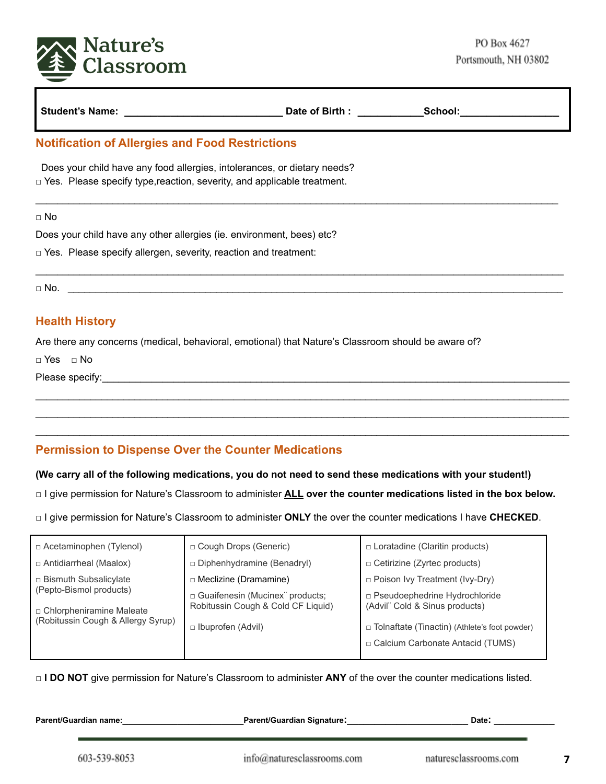

|                                                                                                                                                            | Date of Birth : School: |  |
|------------------------------------------------------------------------------------------------------------------------------------------------------------|-------------------------|--|
| <b>Notification of Allergies and Food Restrictions</b>                                                                                                     |                         |  |
| Does your child have any food allergies, intolerances, or dietary needs?<br>$\Box$ Yes. Please specify type, reaction, severity, and applicable treatment. |                         |  |
| $\Box$ No                                                                                                                                                  |                         |  |
| Does your child have any other allergies (ie. environment, bees) etc?                                                                                      |                         |  |
| $\Box$ Yes. Please specify allergen, severity, reaction and treatment:                                                                                     |                         |  |
|                                                                                                                                                            |                         |  |
| <b>Health History</b>                                                                                                                                      |                         |  |
| Are there any concerns (medical, behavioral, emotional) that Nature's Classroom should be aware of?                                                        |                         |  |
| $\Box$ Yes $\Box$ No                                                                                                                                       |                         |  |
|                                                                                                                                                            |                         |  |

# **Permission to Dispense Over the Counter Medications**

#### (We carry all of the following medications, you do not need to send these medications with your student!)

□ I give permission for Nature's Classroom to administer **ALL over the counter medications listed in the box below.**

 $\_$  ,  $\_$  ,  $\_$  ,  $\_$  ,  $\_$  ,  $\_$  ,  $\_$  ,  $\_$  ,  $\_$  ,  $\_$  ,  $\_$  ,  $\_$  ,  $\_$  ,  $\_$  ,  $\_$  ,  $\_$  ,  $\_$  ,  $\_$  ,  $\_$  ,  $\_$  ,  $\_$  ,  $\_$  ,  $\_$  ,  $\_$  ,  $\_$  ,  $\_$  ,  $\_$  ,  $\_$  ,  $\_$  ,  $\_$  ,  $\_$  ,  $\_$  ,  $\_$  ,  $\_$  ,  $\_$  ,  $\_$  ,  $\_$  ,  $\_$  ,  $\_$  ,  $\_$  ,  $\_$  ,  $\_$  ,  $\_$  ,  $\_$  ,  $\_$  ,  $\_$  ,  $\_$  ,  $\_$  ,  $\_$  ,  $\_$  ,  $\_$  ,  $\_$  ,  $\_$  ,  $\_$  ,  $\_$  ,  $\_$  ,  $\_$  ,  $\_$  ,  $\_$  ,  $\_$  ,  $\_$  ,  $\_$  ,  $\_$  ,  $\_$  ,  $\_$  ,  $\_$  ,  $\_$  ,  $\_$  ,  $\_$  ,  $\_$  ,  $\_$  ,  $\_$  ,  $\_$  ,  $\_$  ,

□ I give permission for Nature's Classroom to administer **ONLY** the over the counter medications I have **CHECKED**.

| $\Box$ Acetaminophen (Tylenol)                                                              | □ Cough Drops (Generic)                                                                            | $\Box$ Loratadine (Claritin products)                                                                                     |
|---------------------------------------------------------------------------------------------|----------------------------------------------------------------------------------------------------|---------------------------------------------------------------------------------------------------------------------------|
| □ Antidiarrheal (Maalox)                                                                    | Diphenhydramine (Benadryl)                                                                         | $\Box$ Cetirizine (Zyrtec products)                                                                                       |
| $\Box$ Bismuth Subsalicylate                                                                | $\Box$ Meclizine (Dramamine)                                                                       | $\Box$ Poison Ivy Treatment (Ivy-Dry)                                                                                     |
| (Pepto-Bismol products)<br>□ Chlorpheniramine Maleate<br>(Robitussin Cough & Allergy Syrup) | □ Guaifenesin (Mucinex products;<br>Robitussin Cough & Cold CF Liquid)<br>$\Box$ Ibuprofen (Advil) | □ Pseudoephedrine Hydrochloride<br>(Advil" Cold & Sinus products)<br>$\Box$ Tolnaftate (Tinactin) (Athlete's foot powder) |
|                                                                                             |                                                                                                    | □ Calcium Carbonate Antacid (TUMS)                                                                                        |
|                                                                                             |                                                                                                    |                                                                                                                           |

□ **I DO NOT** give permission for Nature's Classroom to administer **ANY** of the over the counter medications listed.

**Parent/Guardian name:\_\_\_\_\_\_\_\_\_\_\_\_\_\_\_\_\_\_\_\_\_\_Parent/Guardian Signature:\_\_\_\_\_\_\_\_\_\_\_\_\_\_\_\_\_\_\_\_\_\_ Date: \_\_\_\_\_\_\_\_\_\_\_**